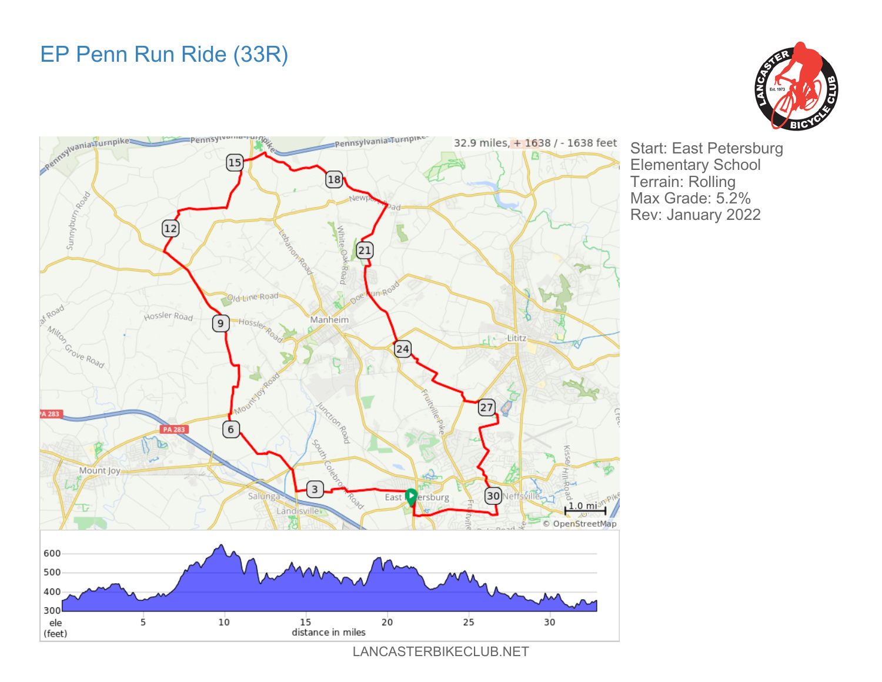## EP Penn Run Ride (33R)





Start: East Petersburg Elementary School Terrain: Rolling Max Grade: 5.2% Rev: January 2022

LANCASTERBIKECLUB.NET